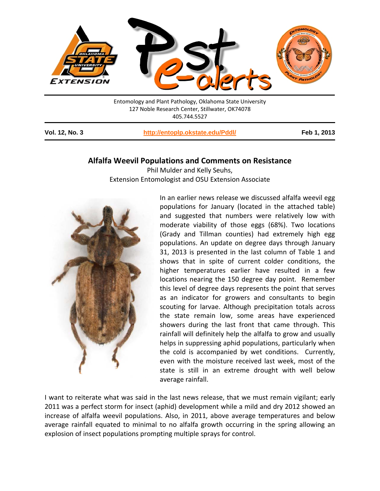

Entomology and Plant Pathology, Oklahoma State University 127 Noble Research Center, Stillwater, OK74078 405.744.5527

**Vol. 12, No. 3 <http://entoplp.okstate.edu/Pddl/> Feb 1, 2013**

## **Alfalfa Weevil Populations and Comments on Resistance**

Phil Mulder and Kelly Seuhs, Extension Entomologist and OSU Extension Associate



In an earlier news release we discussed alfalfa weevil egg populations for January (located in the attached table) and suggested that numbers were relatively low with moderate viability of those eggs (68%). Two locations (Grady and Tillman counties) had extremely high egg populations. An update on degree days through January 31, 2013 is presented in the last column of Table 1 and shows that in spite of current colder conditions, the higher temperatures earlier have resulted in a few locations nearing the 150 degree day point. Remember this level of degree days represents the point that serves as an indicator for growers and consultants to begin scouting for larvae. Although precipitation totals across the state remain low, some areas have experienced showers during the last front that came through. This rainfall will definitely help the alfalfa to grow and usually helps in suppressing aphid populations, particularly when the cold is accompanied by wet conditions. Currently, even with the moisture received last week, most of the state is still in an extreme drought with well below average rainfall.

I want to reiterate what was said in the last news release, that we must remain vigilant; early 2011 was a perfect storm for insect (aphid) development while a mild and dry 2012 showed an increase of alfalfa weevil populations. Also, in 2011, above average temperatures and below average rainfall equated to minimal to no alfalfa growth occurring in the spring allowing an explosion of insect populations prompting multiple sprays for control.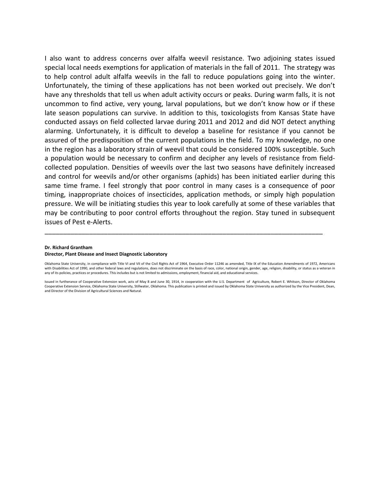I also want to address concerns over alfalfa weevil resistance. Two adjoining states issued special local needs exemptions for application of materials in the fall of 2011. The strategy was to help control adult alfalfa weevils in the fall to reduce populations going into the winter. Unfortunately, the timing of these applications has not been worked out precisely. We don't have any thresholds that tell us when adult activity occurs or peaks. During warm falls, it is not uncommon to find active, very young, larval populations, but we don't know how or if these late season populations can survive. In addition to this, toxicologists from Kansas State have conducted assays on field collected larvae during 2011 and 2012 and did NOT detect anything alarming. Unfortunately, it is difficult to develop a baseline for resistance if you cannot be assured of the predisposition of the current populations in the field. To my knowledge, no one in the region has a laboratory strain of weevil that could be considered 100% susceptible. Such a population would be necessary to confirm and decipher any levels of resistance from fieldcollected population. Densities of weevils over the last two seasons have definitely increased and control for weevils and/or other organisms (aphids) has been initiated earlier during this same time frame. I feel strongly that poor control in many cases is a consequence of poor timing, inappropriate choices of insecticides, application methods, or simply high population pressure. We will be initiating studies this year to look carefully at some of these variables that may be contributing to poor control efforts throughout the region. Stay tuned in subsequent issues of Pest e-Alerts.

## **Dr. Richard Grantham**

## **Director, Plant Disease and Insect Diagnostic Laboratory**

Oklahoma State University, in compliance with Title VI and VII of the Civil Rights Act of 1964, Executive Order 11246 as amended, Title IX of the Education Amendments of 1972, Americans with Disabilities Act of 1990, and other federal laws and regulations, does not discriminate on the basis of race, color, national origin, gender, age, religion, disability, or status as a veteran in any of its policies, practices or procedures. This includes but is not limited to admissions, employment, financial aid, and educational services.

\_\_\_\_\_\_\_\_\_\_\_\_\_\_\_\_\_\_\_\_\_\_\_\_\_\_\_\_\_\_\_\_\_\_\_\_\_\_\_\_\_\_\_\_\_\_\_\_\_\_\_\_\_\_\_\_\_\_\_\_\_\_\_\_\_\_\_\_\_\_\_\_\_\_\_

Issued in furtherance of Cooperative Extension work, acts of May 8 and June 30, 1914, in cooperation with the U.S. Department of Agriculture, Robert E. Whitson, Director of Oklahoma Cooperative Extension Service, Oklahoma State University, Stillwater, Oklahoma. This publication is printed and issued by Oklahoma State University as authorized by the Vice President, Dean, and Director of the Division of Agricultural Sciences and Natural.